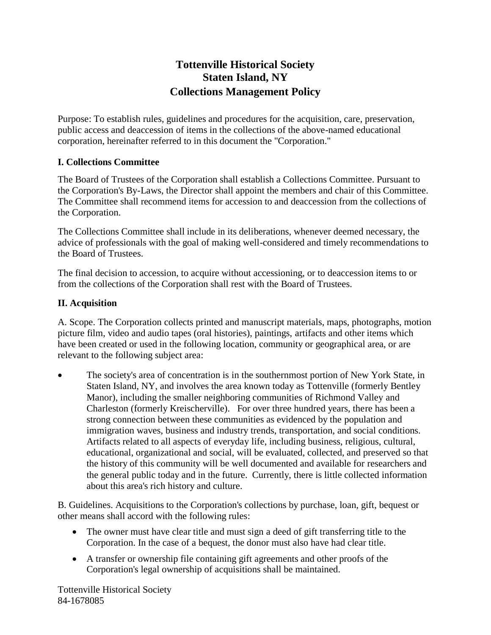# **Tottenville Historical Society Staten Island, NY Collections Management Policy**

Purpose: To establish rules, guidelines and procedures for the acquisition, care, preservation, public access and deaccession of items in the collections of the above-named educational corporation, hereinafter referred to in this document the "Corporation."

## **I. Collections Committee**

The Board of Trustees of the Corporation shall establish a Collections Committee. Pursuant to the Corporation's By-Laws, the Director shall appoint the members and chair of this Committee. The Committee shall recommend items for accession to and deaccession from the collections of the Corporation.

The Collections Committee shall include in its deliberations, whenever deemed necessary, the advice of professionals with the goal of making well-considered and timely recommendations to the Board of Trustees.

The final decision to accession, to acquire without accessioning, or to deaccession items to or from the collections of the Corporation shall rest with the Board of Trustees.

## **II. Acquisition**

A. Scope. The Corporation collects printed and manuscript materials, maps, photographs, motion picture film, video and audio tapes (oral histories), paintings, artifacts and other items which have been created or used in the following location, community or geographical area, or are relevant to the following subject area:

 The society's area of concentration is in the southernmost portion of New York State, in Staten Island, NY, and involves the area known today as Tottenville (formerly Bentley Manor), including the smaller neighboring communities of Richmond Valley and Charleston (formerly Kreischerville). For over three hundred years, there has been a strong connection between these communities as evidenced by the population and immigration waves, business and industry trends, transportation, and social conditions. Artifacts related to all aspects of everyday life, including business, religious, cultural, educational, organizational and social, will be evaluated, collected, and preserved so that the history of this community will be well documented and available for researchers and the general public today and in the future. Currently, there is little collected information about this area's rich history and culture.

B. Guidelines. Acquisitions to the Corporation's collections by purchase, loan, gift, bequest or other means shall accord with the following rules:

- The owner must have clear title and must sign a deed of gift transferring title to the Corporation. In the case of a bequest, the donor must also have had clear title.
- A transfer or ownership file containing gift agreements and other proofs of the Corporation's legal ownership of acquisitions shall be maintained.

Tottenville Historical Society 84-1678085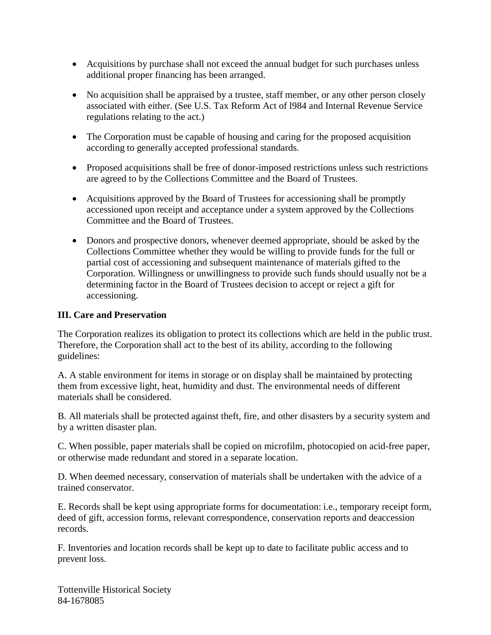- Acquisitions by purchase shall not exceed the annual budget for such purchases unless additional proper financing has been arranged.
- No acquisition shall be appraised by a trustee, staff member, or any other person closely associated with either. (See U.S. Tax Reform Act of l984 and Internal Revenue Service regulations relating to the act.)
- The Corporation must be capable of housing and caring for the proposed acquisition according to generally accepted professional standards.
- Proposed acquisitions shall be free of donor-imposed restrictions unless such restrictions are agreed to by the Collections Committee and the Board of Trustees.
- Acquisitions approved by the Board of Trustees for accessioning shall be promptly accessioned upon receipt and acceptance under a system approved by the Collections Committee and the Board of Trustees.
- Donors and prospective donors, whenever deemed appropriate, should be asked by the Collections Committee whether they would be willing to provide funds for the full or partial cost of accessioning and subsequent maintenance of materials gifted to the Corporation. Willingness or unwillingness to provide such funds should usually not be a determining factor in the Board of Trustees decision to accept or reject a gift for accessioning.

# **III. Care and Preservation**

The Corporation realizes its obligation to protect its collections which are held in the public trust. Therefore, the Corporation shall act to the best of its ability, according to the following guidelines:

A. A stable environment for items in storage or on display shall be maintained by protecting them from excessive light, heat, humidity and dust. The environmental needs of different materials shall be considered.

B. All materials shall be protected against theft, fire, and other disasters by a security system and by a written disaster plan.

C. When possible, paper materials shall be copied on microfilm, photocopied on acid-free paper, or otherwise made redundant and stored in a separate location.

D. When deemed necessary, conservation of materials shall be undertaken with the advice of a trained conservator.

E. Records shall be kept using appropriate forms for documentation: i.e., temporary receipt form, deed of gift, accession forms, relevant correspondence, conservation reports and deaccession records.

F. Inventories and location records shall be kept up to date to facilitate public access and to prevent loss.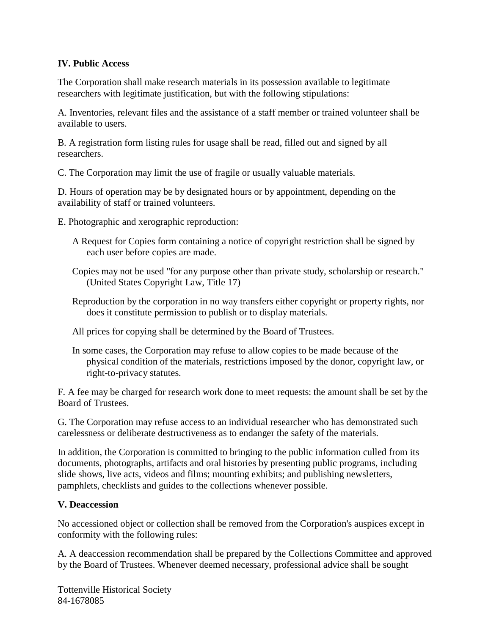## **IV. Public Access**

The Corporation shall make research materials in its possession available to legitimate researchers with legitimate justification, but with the following stipulations:

A. Inventories, relevant files and the assistance of a staff member or trained volunteer shall be available to users.

B. A registration form listing rules for usage shall be read, filled out and signed by all researchers.

C. The Corporation may limit the use of fragile or usually valuable materials.

D. Hours of operation may be by designated hours or by appointment, depending on the availability of staff or trained volunteers.

E. Photographic and xerographic reproduction:

- A Request for Copies form containing a notice of copyright restriction shall be signed by each user before copies are made.
- Copies may not be used "for any purpose other than private study, scholarship or research." (United States Copyright Law, Title 17)
- Reproduction by the corporation in no way transfers either copyright or property rights, nor does it constitute permission to publish or to display materials.
- All prices for copying shall be determined by the Board of Trustees.
- In some cases, the Corporation may refuse to allow copies to be made because of the physical condition of the materials, restrictions imposed by the donor, copyright law, or right-to-privacy statutes.

F. A fee may be charged for research work done to meet requests: the amount shall be set by the Board of Trustees.

G. The Corporation may refuse access to an individual researcher who has demonstrated such carelessness or deliberate destructiveness as to endanger the safety of the materials.

In addition, the Corporation is committed to bringing to the public information culled from its documents, photographs, artifacts and oral histories by presenting public programs, including slide shows, live acts, videos and films; mounting exhibits; and publishing newsletters, pamphlets, checklists and guides to the collections whenever possible.

## **V. Deaccession**

No accessioned object or collection shall be removed from the Corporation's auspices except in conformity with the following rules:

A. A deaccession recommendation shall be prepared by the Collections Committee and approved by the Board of Trustees. Whenever deemed necessary, professional advice shall be sought

Tottenville Historical Society 84-1678085